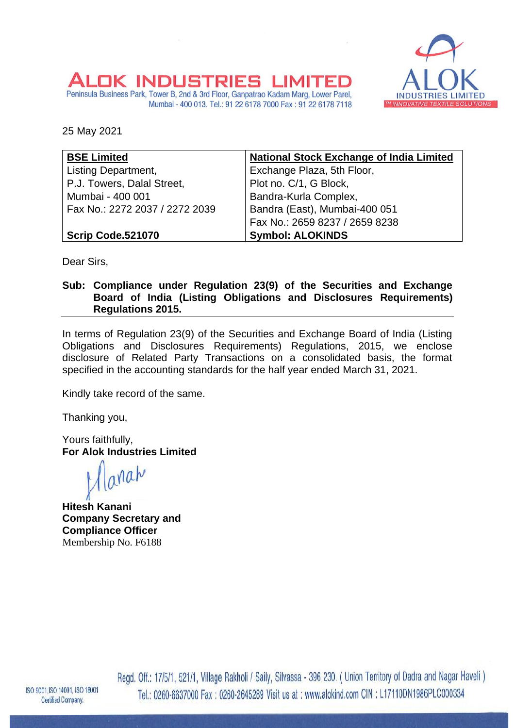

25 May 2021

OK 1

**INDLIST** 

| <b>BSE Limited</b>             | <b>National Stock Exchange of India Limited</b> |  |
|--------------------------------|-------------------------------------------------|--|
| Listing Department,            | Exchange Plaza, 5th Floor,                      |  |
| P.J. Towers, Dalal Street,     | Plot no. C/1, G Block,                          |  |
| Mumbai - 400 001               | Bandra-Kurla Complex,                           |  |
| Fax No.: 2272 2037 / 2272 2039 | Bandra (East), Mumbai-400 051                   |  |
|                                | Fax No.: 2659 8237 / 2659 8238                  |  |
| Scrip Code.521070              | <b>Symbol: ALOKINDS</b>                         |  |

I S

Mumbai - 400 013. Tel.: 91 22 6178 7000 Fax: 91 22 6178 7118

Peninsula Business Park, Tower B, 2nd & 3rd Floor, Ganpatrao Kadam Marg, Lower Parel,

Dear Sirs,

**Sub: Compliance under Regulation 23(9) of the Securities and Exchange Board of India (Listing Obligations and Disclosures Requirements) Regulations 2015.**

In terms of Regulation 23(9) of the Securities and Exchange Board of India (Listing Obligations and Disclosures Requirements) Regulations, 2015, we enclose disclosure of Related Party Transactions on a consolidated basis, the format specified in the accounting standards for the half year ended March 31, 2021.

Kindly take record of the same.

Thanking you,

Yours faithfully, **For Alok Industries Limited**

inah

**Hitesh Kanani Company Secretary and Compliance Officer** Membership No. F6188